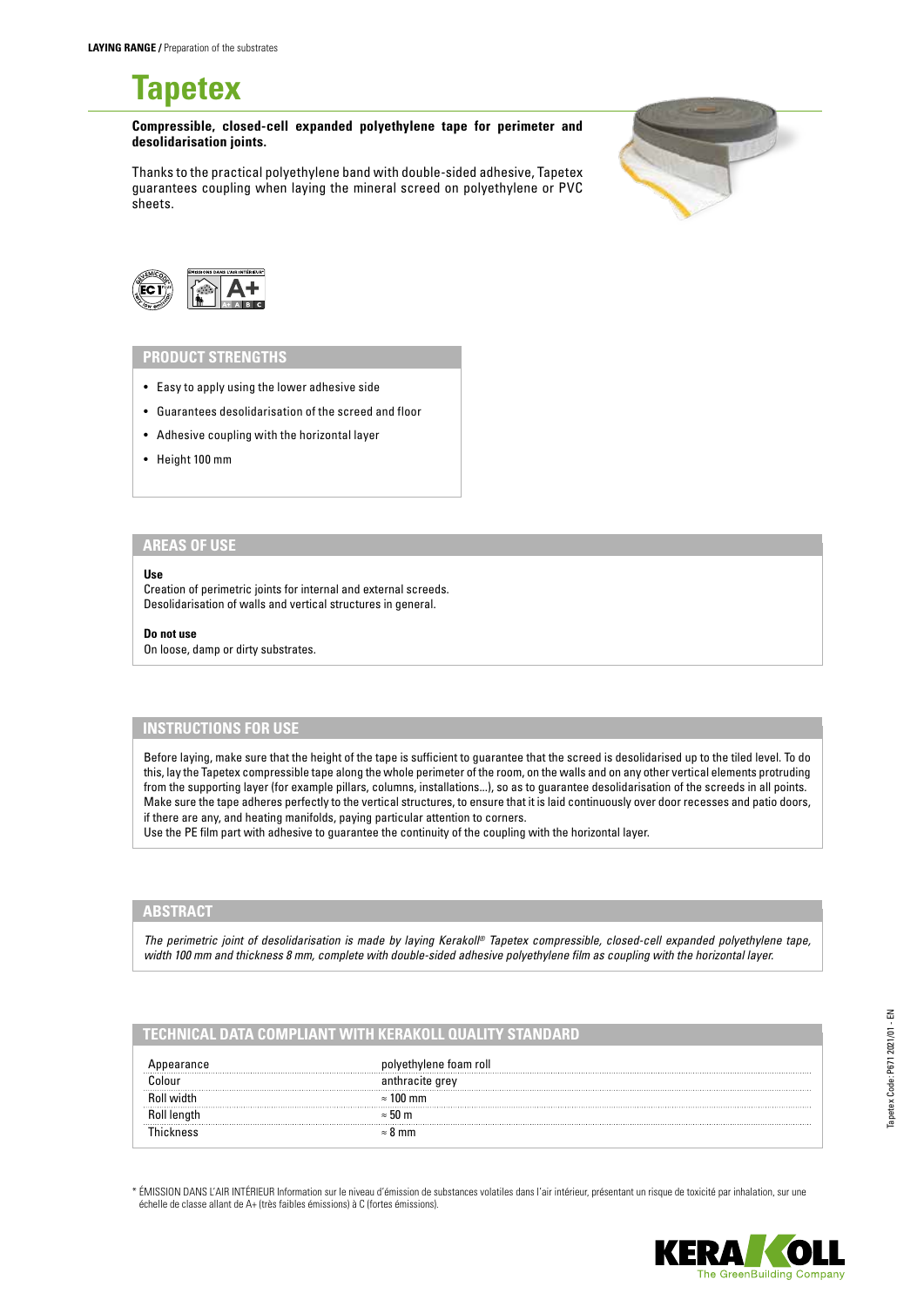**Tapetex**

**Compressible, closed-cell expanded polyethylene tape for perimeter and desolidarisation joints.** 

Thanks to the practical polyethylene band with double-sided adhesive, Tapetex guarantees coupling when laying the mineral screed on polyethylene or PVC sheets.





# **PRODUCT STRENGTHS**

- Easy to apply using the lower adhesive side
- Guarantees desolidarisation of the screed and floor
- Adhesive coupling with the horizontal layer
- Height 100 mm

#### **AREAS OF USE**

#### **Use**

Creation of perimetric joints for internal and external screeds. Desolidarisation of walls and vertical structures in general.

**Do not use**

On loose, damp or dirty substrates.

### **INSTRUCTIONS FOR USE**

Before laying, make sure that the height of the tape is sufficient to guarantee that the screed is desolidarised up to the tiled level. To do this, lay the Tapetex compressible tape along the whole perimeter of the room, on the walls and on any other vertical elements protruding from the supporting layer (for example pillars, columns, installations...), so as to guarantee desolidarisation of the screeds in all points. Make sure the tape adheres perfectly to the vertical structures, to ensure that it is laid continuously over door recesses and patio doors, if there are any, and heating manifolds, paying particular attention to corners.

Use the PE film part with adhesive to guarantee the continuity of the coupling with the horizontal layer.

## **ABSTRACT**

*The perimetric joint of desolidarisation is made by laying Kerakoll® Tapetex compressible, closed-cell expanded polyethylene tape, width 100 mm and thickness 8 mm, complete with double-sided adhesive polyethylene film as coupling with the horizontal layer.*

### **TECHNICAL DATA COMPLIANT WITH KERAKOLL QUALITY STANDARD**

| hylene toam roll |
|------------------|
| racıte qrev      |
| $100 \text{ mm}$ |
| $\approx$ 50 m   |
| 8 mm             |

\* ÉMISSION DANS L'AIR INTÉRIEUR Information sur le niveau d'émission de substances volatiles dans l'air intérieur, présentant un risque de toxicité par inhalation, sur une échelle de classe allant de A+ (très faibles émissions) à C (fortes émissions).